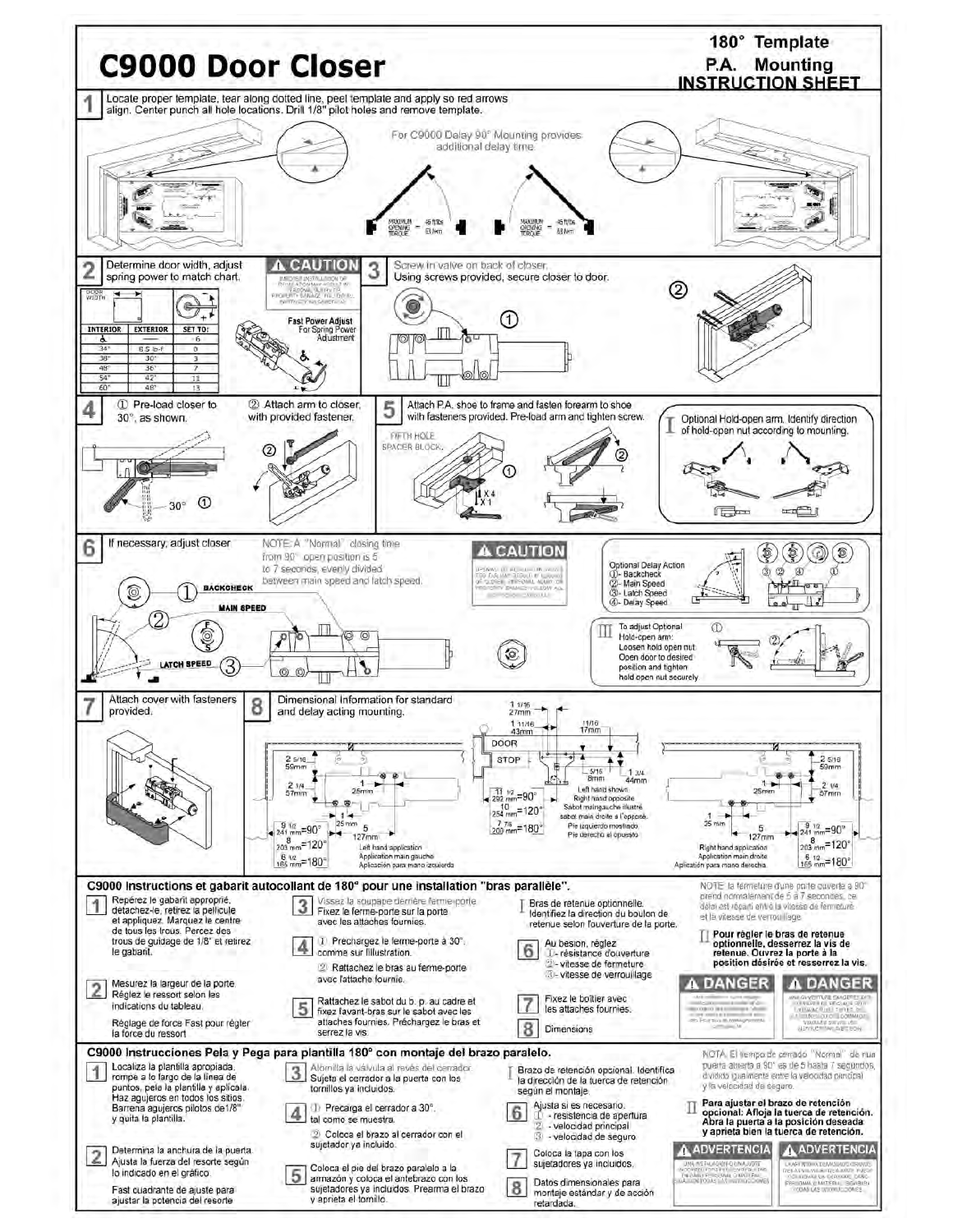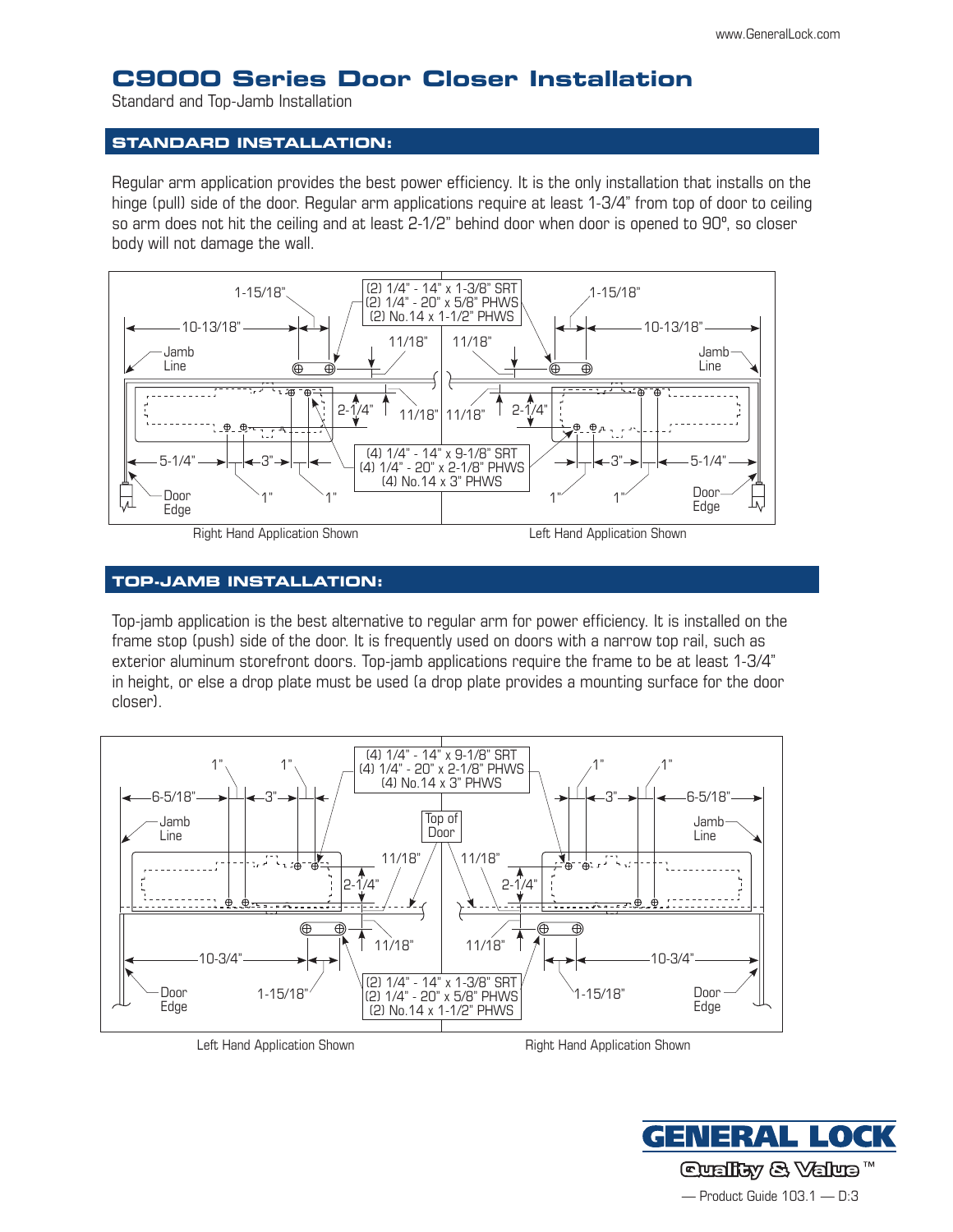# **C9000 Series Door Closer Installation**

Standard and Top-Jamb Installation

#### **Standard installation:**

Regular arm application provides the best power efficiency. It is the only installation that installs on the hinge (pull) side of the door. Regular arm applications require at least 1-3/4" from top of door to ceiling so arm does not hit the ceiling and at least 2-1/2" behind door when door is opened to 90º, so closer body will not damage the wall.



## **Top-Jamb installation:**

Top-jamb application is the best alternative to regular arm for power efficiency. It is installed on the frame stop (push) side of the door. It is frequently used on doors with a narrow top rail, such as exterior aluminum storefront doors. Top-jamb applications require the frame to be at least 1-3/4" in height, or else a drop plate must be used (a drop plate provides a mounting surface for the door closer).



Left Hand Application Shown **Example 20 and Application Shown** Right Hand Application Shown